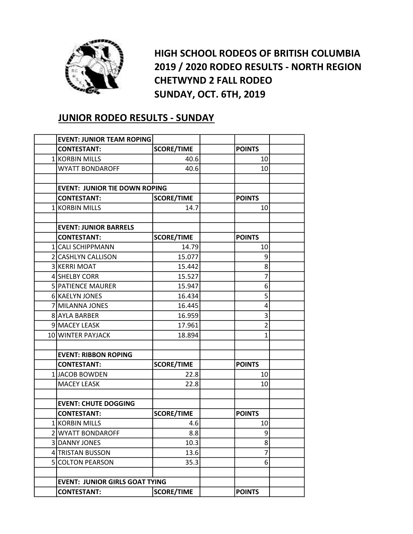

HIGH SCHOOL RODEOS OF BRITISH COLUMBIA 2019 / 2020 RODEO RESULTS - NORTH REGION CHETWYND 2 FALL RODEO SUNDAY, OCT. 6TH, 2019

## JUNIOR RODEO RESULTS - SUNDAY

| <b>EVENT: JUNIOR TEAM ROPING</b>      |                   |                |  |
|---------------------------------------|-------------------|----------------|--|
| <b>CONTESTANT:</b>                    | <b>SCORE/TIME</b> | <b>POINTS</b>  |  |
| 1 KORBIN MILLS                        | 40.6              | 10             |  |
| <b>WYATT BONDAROFF</b>                | 40.6              | 10             |  |
|                                       |                   |                |  |
| <b>EVENT: JUNIOR TIE DOWN ROPING</b>  |                   |                |  |
| <b>CONTESTANT:</b>                    | <b>SCORE/TIME</b> | <b>POINTS</b>  |  |
| 1 KORBIN MILLS                        | 14.7              | 10             |  |
|                                       |                   |                |  |
| <b>EVENT: JUNIOR BARRELS</b>          |                   |                |  |
| <b>CONTESTANT:</b>                    | <b>SCORE/TIME</b> | <b>POINTS</b>  |  |
| 1 CALI SCHIPPMANN                     | 14.79             | 10             |  |
| 2 CASHLYN CALLISON                    | 15.077            | 9              |  |
| 3 KERRI MOAT                          | 15.442            | 8              |  |
| 4 SHELBY CORR                         | 15.527            | 7              |  |
| <b>5 PATIENCE MAURER</b>              | 15.947            | 6              |  |
| 6 KAELYN JONES                        | 16.434            | 5              |  |
| 7 MILANNA JONES                       | 16.445            | 4              |  |
| 8 AYLA BARBER                         | 16.959            | 3              |  |
| 9 MACEY LEASK                         | 17.961            | $\overline{2}$ |  |
| 10 WINTER PAYJACK                     | 18.894            | $\mathbf{1}$   |  |
|                                       |                   |                |  |
| <b>EVENT: RIBBON ROPING</b>           |                   |                |  |
| <b>CONTESTANT:</b>                    | <b>SCORE/TIME</b> | <b>POINTS</b>  |  |
| 1 JACOB BOWDEN                        | 22.8              | 10             |  |
| <b>MACEY LEASK</b>                    | 22.8              | 10             |  |
|                                       |                   |                |  |
| <b>EVENT: CHUTE DOGGING</b>           |                   |                |  |
| <b>CONTESTANT:</b>                    | <b>SCORE/TIME</b> | <b>POINTS</b>  |  |
| 1 KORBIN MILLS                        | 4.6               | 10             |  |
| 2 WYATT BONDAROFF                     | 8.8               | q              |  |
| 3 DANNY JONES                         | 10.3              | 8              |  |
| 4 TRISTAN BUSSON                      | 13.6              | 7              |  |
| <b>SICOLTON PEARSON</b>               | 35.3              | 6              |  |
|                                       |                   |                |  |
| <b>EVENT: JUNIOR GIRLS GOAT TYING</b> |                   |                |  |
| <b>CONTESTANT:</b>                    | <b>SCORE/TIME</b> | <b>POINTS</b>  |  |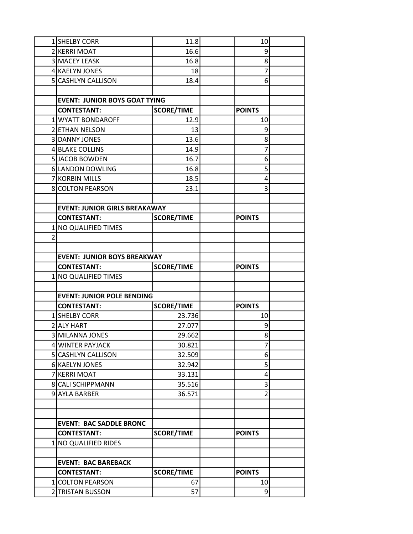|          | 1 SHELBY CORR                        | 11.8              | 10             |  |
|----------|--------------------------------------|-------------------|----------------|--|
|          | 2 KERRI MOAT                         | 16.6              | 9              |  |
|          | 3 MACEY LEASK                        | 16.8              | 8              |  |
|          | 4 KAELYN JONES                       | 18                | 7              |  |
|          | 5 CASHLYN CALLISON                   | 18.4              | 6              |  |
|          |                                      |                   |                |  |
|          | <b>EVENT: JUNIOR BOYS GOAT TYING</b> |                   |                |  |
|          | <b>CONTESTANT:</b>                   | <b>SCORE/TIME</b> | <b>POINTS</b>  |  |
|          | 1 WYATT BONDAROFF                    | 12.9              | 10             |  |
|          | 2 ETHAN NELSON                       | 13                | 9              |  |
|          | 3 DANNY JONES                        | 13.6              | 8              |  |
|          | 4 BLAKE COLLINS                      | 14.9              | 7              |  |
|          | 5 JACOB BOWDEN                       | 16.7              | 6              |  |
|          | 6 LANDON DOWLING                     | 16.8              | 5              |  |
|          | 7 KORBIN MILLS                       | 18.5              | 4              |  |
|          | 8 COLTON PEARSON                     | 23.1              | 3              |  |
|          |                                      |                   |                |  |
|          | <b>EVENT: JUNIOR GIRLS BREAKAWAY</b> |                   |                |  |
|          | <b>CONTESTANT:</b>                   | <b>SCORE/TIME</b> | <b>POINTS</b>  |  |
| $1\vert$ | <b>NO QUALIFIED TIMES</b>            |                   |                |  |
| 2        |                                      |                   |                |  |
|          |                                      |                   |                |  |
|          | <b>EVENT: JUNIOR BOYS BREAKWAY</b>   |                   |                |  |
|          | <b>CONTESTANT:</b>                   | <b>SCORE/TIME</b> | <b>POINTS</b>  |  |
|          | 1 NO QUALIFIED TIMES                 |                   |                |  |
|          |                                      |                   |                |  |
|          | <b>EVENT: JUNIOR POLE BENDING</b>    |                   |                |  |
|          | <b>CONTESTANT:</b>                   | <b>SCORE/TIME</b> | <b>POINTS</b>  |  |
|          | 1 SHELBY CORR                        | 23.736            | 10             |  |
|          | 2 ALY HART                           | 27.077            | 9              |  |
|          | 3 MILANNA JONES                      | 29.662            | 8              |  |
|          | 4 WINTER PAYJACK                     | 30.821            | 7              |  |
|          | 5 CASHLYN CALLISON                   | 32.509            | 6              |  |
|          | 6 KAELYN JONES                       | 32.942            | 5              |  |
|          | 7 KERRI MOAT                         | 33.131            | 4              |  |
|          | 8 CALI SCHIPPMANN                    | 35.516            | 3              |  |
|          | 9 AYLA BARBER                        | 36.571            | $\overline{2}$ |  |
|          |                                      |                   |                |  |
|          |                                      |                   |                |  |
|          | <b>EVENT: BAC SADDLE BRONC</b>       |                   |                |  |
|          | <b>CONTESTANT:</b>                   | <b>SCORE/TIME</b> | <b>POINTS</b>  |  |
|          | 1 NO QUALIFIED RIDES                 |                   |                |  |
|          |                                      |                   |                |  |
|          | <b>EVENT: BAC BAREBACK</b>           |                   |                |  |
|          | <b>CONTESTANT:</b>                   | <b>SCORE/TIME</b> | <b>POINTS</b>  |  |
|          | 1 COLTON PEARSON                     | 67                | 10             |  |
|          | 2 TRISTAN BUSSON                     | 57                | 9              |  |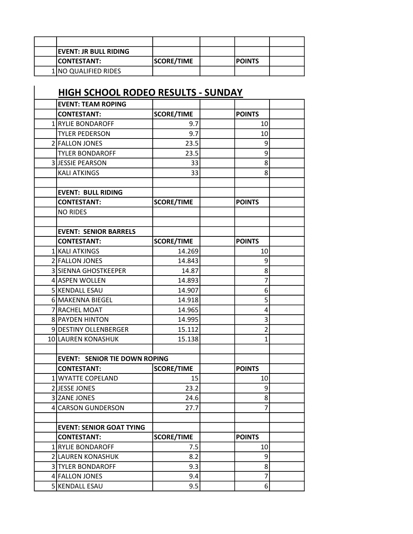| <b>IEVENT: JR BULL RIDING</b> |                   |                |  |
|-------------------------------|-------------------|----------------|--|
| <b>ICONTESTANT:</b>           | <b>SCORE/TIME</b> | <b>IPOINTS</b> |  |
| 1 NO QUALIFIED RIDES          |                   |                |  |

## HIGH SCHOOL RODEO RESULTS - SUNDAY EVENT: TEAM ROPING CONTESTANT: SCORE/TIME POINTS 1 RYLIE BONDAROFF 1 9.7 10 TYLER PEDERSON 9.7 98 2 FALLON JONES 23.5 23.5 TYLER BONDAROFF TYLER NONDAROFF 23.5 and 23.5 and 23.5 and 23.5 and 23.5 and 23.5 and 23.5 and 23.5 and 23.5 and 23.5 and 23.5 and 23.5 and 23.5 and 23.5 and 23.5 and 23.5 and 23.5 and 23.5 and 23.5 and 23.5 and 23.5 and 2 3 JUESSIE PEARSON 33 33 KALI ATKINGS 33 8 EVENT: BULL RIDING CONTESTANT: SCORE/TIME | POINTS NO RIDES EVENT: SENIOR BARRELS |CONTESTANT: SCORE/TIME | POINTS 1 KALI ATKINGS 14.269 10 2 FALLON JONES 14.843 9 3 SIENNA GHOSTKEEPER 14.87 | 8 4 ASPEN WOLLEN 14.893 5 KENDALL ESAU 14.907 | 6 6 MAKENNA BIEGEL 14.918 14.918 7 RACHEL MOAT 14.965 | 14.965 8 PAYDEN HINTON 14.995 9 DESTINY OLLENBERGER 15.112 2 10 LAUREN KONASHUK | 15.138 | 1 EVENT: SENIOR TIE DOWN ROPING CONTESTANT: SCORE/TIME | POINTS 1 WYATTE COPELAND 15 15 2 JJESSE JONES 23.2 9 3 ZANE JONES 24.6 24.6 4 CARSON GUNDERSON  $\begin{array}{ccc} 1 & 27.7 & 1 & 7 \end{array}$ EVENT: SENIOR GOAT TYING |CONTESTANT: SCORE/TIME | POINTS 1 RYLIE BONDAROFF 1 7.5 10 2 LAUREN KONASHUK (8.2 METADA) 1 3 TYLER BONDAROFF 1 9.3 9.3 4 FALLON JONES 19.4 | 2

5 KENDALL ESAU 8.5 6